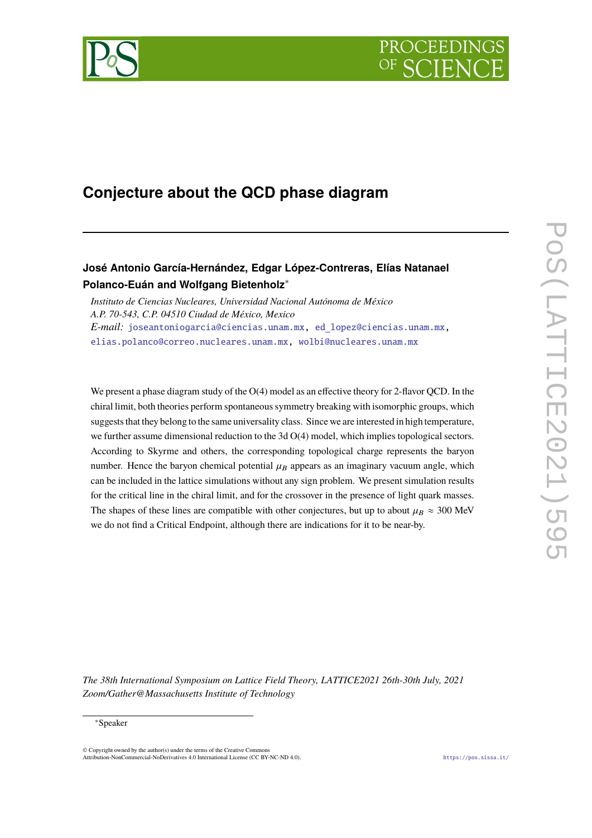



# **Conjecture about the QCD phase diagram**

# **José Antonio García-Hernández, Edgar López-Contreras, Elías Natanael Polanco-Euán and Wolfgang Bietenholz**<sup>∗</sup>

*Instituto de Ciencias Nucleares, Universidad Nacional Autónoma de México A.P. 70-543, C.P. 04510 Ciudad de México, Mexico E-mail:* [joseantoniogarcia@ciencias.unam.mx,](mailto:joseantoniogarcia@ciencias.unam.mx) ed [lopez@ciencias.unam.mx,](mailto:ed\relax $\@@underline {\hbox {\setbox \tw@ \hbox {\begingroup \pdfcolorstack \main@pdfcolorstack push{0 g 0 G}\aftergroup \pdfcolorstack \main@pdfcolorstack pop\relax ~\endgraf \endgroup }\dp \tw@ \z@ \box \tw@ }}\mathsurround \z@ $\relax lopez@ciencias.unam.mx) [elias.polanco@correo.nucleares.unam.mx,](mailto:elias.polanco@correo.nucleares.unam.mx) [wolbi@nucleares.unam.mx](mailto:wolbi@nucleares.unam.mx)

We present a phase diagram study of the  $O(4)$  model as an effective theory for 2-flavor QCD. In the chiral limit, both theories perform spontaneous symmetry breaking with isomorphic groups, which suggests that they belong to the same universality class. Since we are interested in high temperature, we further assume dimensional reduction to the 3d O(4) model, which implies topological sectors. According to Skyrme and others, the corresponding topological charge represents the baryon number. Hence the baryon chemical potential  $\mu_B$  appears as an imaginary vacuum angle, which can be included in the lattice simulations without any sign problem. We present simulation results for the critical line in the chiral limit, and for the crossover in the presence of light quark masses. The shapes of these lines are compatible with other conjectures, but up to about  $\mu_B \approx 300$  MeV we do not find a Critical Endpoint, although there are indications for it to be near-by.

*The 38th International Symposium on Lattice Field Theory, LATTICE2021 26th-30th July, 2021 Zoom/Gather@Massachusetts Institute of Technology*

#### <sup>∗</sup>Speaker

 $\odot$  Copyright owned by the author(s) under the terms of the Creative Common Attribution-NonCommercial-NoDerivatives 4.0 International License (CC BY-NC-ND 4.0). <https://pos.sissa.it/>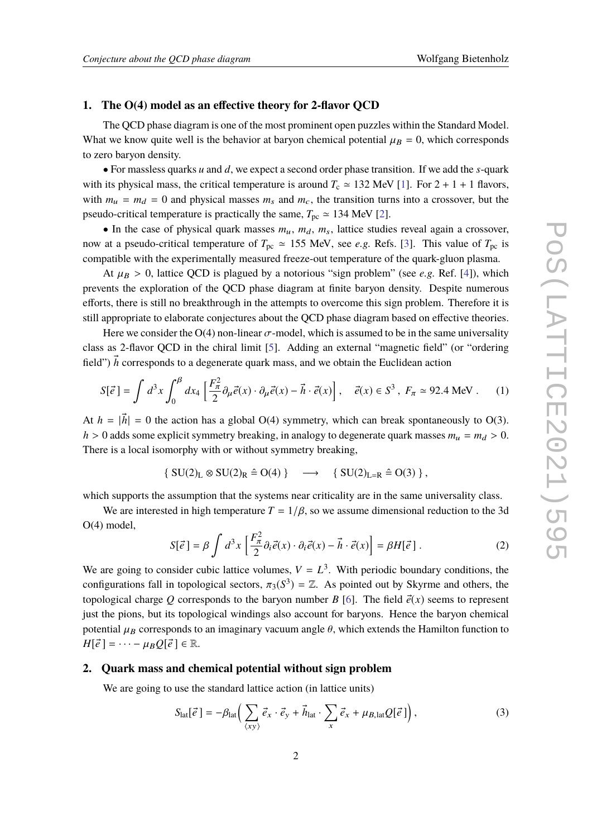## **1. The O(4) model as an effective theory for 2-flavor QCD**

The QCD phase diagram is one of the most prominent open puzzles within the Standard Model. What we know quite well is the behavior at baryon chemical potential  $\mu_B = 0$ , which corresponds to zero baryon density.

• For massless quarks *u* and *d*, we expect a second order phase transition. If we add the *s*-quark with its physical mass, the critical temperature is around  $T_c \approx 132$  MeV [\[1\]](#page-8-0). For  $2 + 1 + 1$  flavors, with  $m_u = m_d = 0$  and physical masses  $m_s$  and  $m_c$ , the transition turns into a crossover, but the pseudo-critical temperature is practically the same,  $T_{\text{pc}} \approx 134$  MeV [\[2\]](#page-8-1).

• In the case of physical quark masses  $m_u$ ,  $m_d$ ,  $m_s$ , lattice studies reveal again a crossover, now at a pseudo-critical temperature of  $T_{\text{pc}} \approx 155$  MeV, see *e.g.* Refs. [\[3\]](#page-8-2). This value of  $T_{\text{pc}}$  is compatible with the experimentally measured freeze-out temperature of the quark-gluon plasma.

At  $\mu_B > 0$ , lattice QCD is plagued by a notorious "sign problem" (see *e.g.* Ref. [\[4\]](#page-8-3)), which prevents the exploration of the QCD phase diagram at finite baryon density. Despite numerous efforts, there is still no breakthrough in the attempts to overcome this sign problem. Therefore it is still appropriate to elaborate conjectures about the QCD phase diagram based on effective theories.

Here we consider the  $O(4)$  non-linear  $\sigma$ -model, which is assumed to be in the same universality class as 2-flavor QCD in the chiral limit [\[5\]](#page-8-4). Adding an external "magnetic field" (or "ordering field")  $\vec{h}$  corresponds to a degenerate quark mass, and we obtain the Euclidean action

$$
S[\vec{e}] = \int d^3x \int_0^{\beta} dx_4 \left[ \frac{F_{\pi}^2}{2} \partial_{\mu} \vec{e}(x) \cdot \partial_{\mu} \vec{e}(x) - \vec{h} \cdot \vec{e}(x) \right], \quad \vec{e}(x) \in S^3, \ F_{\pi} \simeq 92.4 \text{ MeV}. \tag{1}
$$

At  $h = |\vec{h}| = 0$  the action has a global O(4) symmetry, which can break spontaneously to O(3).  $h > 0$  adds some explicit symmetry breaking, in analogy to degenerate quark masses  $m_u = m_d > 0$ . There is a local isomorphy with or without symmetry breaking,

$$
\{ SU(2)_L \otimes SU(2)_R \triangleq O(4) \} \longrightarrow \{ SU(2)_{L=R} \triangleq O(3) \},
$$

which supports the assumption that the systems near criticality are in the same universality class.

We are interested in high temperature  $T = 1/\beta$ , so we assume dimensional reduction to the 3d O(4) model,

$$
S[\vec{e}] = \beta \int d^3x \left[ \frac{F_{\pi}^2}{2} \partial_i \vec{e}(x) \cdot \partial_i \vec{e}(x) - \vec{h} \cdot \vec{e}(x) \right] = \beta H[\vec{e}] \ . \tag{2}
$$

We are going to consider cubic lattice volumes,  $V = L^3$ . With periodic boundary conditions, the configurations fall in topological sectors,  $\pi_3(S^3) = \mathbb{Z}$ . As pointed out by Skyrme and others, the topological sharps  $Q$  corresponds to the horizon number  $P_S(G)$ . The field  $\vec{\sigma}(\omega)$  come to represent topological charge *Q* corresponds to the baryon number *B* [\[6\]](#page-8-5). The field  $\vec{e}(x)$  seems to represent just the pions, but its topological windings also account for baryons. Hence the baryon chemical potential  $\mu_B$  corresponds to an imaginary vacuum angle  $\theta$ , which extends the Hamilton function to  $H[\vec{e}] = \cdots - \mu_B Q[\vec{e}] \in \mathbb{R}.$ 

# **2. Quark mass and chemical potential without sign problem**

We are going to use the standard lattice action (in lattice units)

$$
S_{\text{lat}}[\vec{e}] = -\beta_{\text{lat}} \Big( \sum_{\langle xy \rangle} \vec{e}_x \cdot \vec{e}_y + \vec{h}_{\text{lat}} \cdot \sum_x \vec{e}_x + \mu_{B, \text{lat}} Q[\vec{e}] \Big), \tag{3}
$$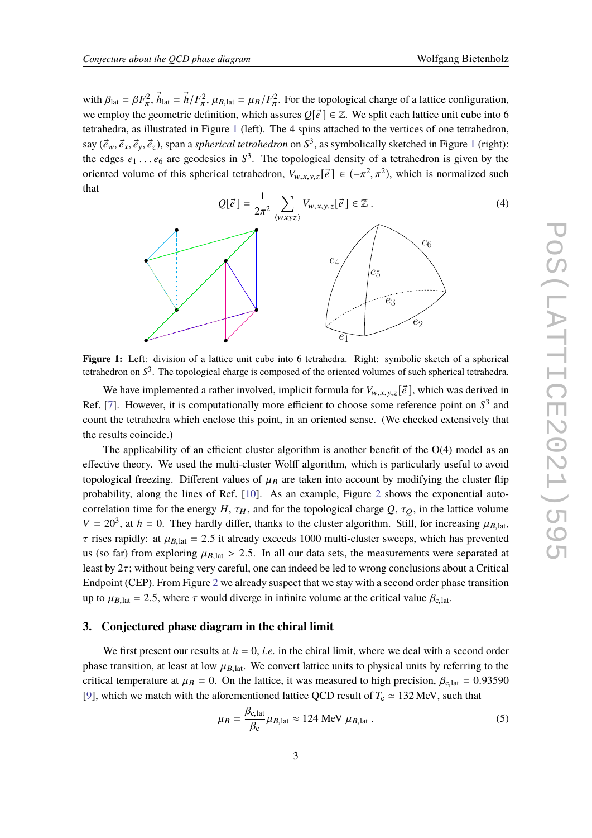with  $\beta_{\text{lat}} = \beta F_{\pi}^2$ ,  $\vec{h}_{\text{lat}} = \vec{h}/F_{\pi}^2$ ,  $\mu_{B,\text{lat}} = \mu_B/F_{\pi}^2$ . For the topological charge of a lattice configuration, we employ the geometric definition, which assures  $Q[\vec{e}] \in \mathbb{Z}$ . We split each lattice unit cube into 6 tetrahedra, as illustrated in Figure [1](#page-2-0) (left). The 4 spins attached to the vertices of one tetrahedron, say  $(\vec{e}_w, \vec{e}_x, \vec{e}_y, \vec{e}_z)$ , span a *spherical tetrahedron* on  $S^3$ , as symbolically sketched in Figure [1](#page-2-0) (right):<br>the adaptation of a span appleise in  $S^3$ . The tenalegieal density of a tetrahedron is given by t the edges  $e_1 \n\t\ldots e_6$  are geodesics in  $S^3$ . The topological density of a tetrahedron is given by the covintide values of this epherical tetrahedron  $V = \begin{bmatrix} 3 \\ 6 \end{bmatrix}$   $\in \begin{pmatrix} -2 & -2 \\ 2 & -2 \end{pmatrix}$  which is normalize oriented volume of this spherical tetrahedron,  $V_{w,x,y,z}[\vec{e}] \in (-\pi^2, \pi^2)$ , which is normalized such that



<span id="page-2-0"></span>

tetrahedron on *S*<sup>3</sup>. The topological charge is composed of the oriented volumes of such spherical tetrahedra. Figure 1: Left: division of a lattice unit cube into 6 tetrahedra. Right: symbolic sketch of a spherical

We have implemented a rather involved, implicit formula for  $V_{w,x,y,z}[\vec{e}]$ , which was derived in Ref. [\[7\]](#page-8-6). However, it is computationally more efficient to choose some reference point on  $S<sup>3</sup>$  and count the tetrahedra which enclose this point, in an oriented sense. (We checked extensively that the results coincide.)

correlation time for the energy *H*,  $\tau_H$ , and for the topological charge *Q*,  $\tau_Q$ , in the lattice volume The applicability of an efficient cluster algorithm is another benefit of the  $O(4)$  model as an effective theory. We used the multi-cluster Wolff algorithm, which is particularly useful to avoid topological freezing. Different values of  $\mu_B$  are taken into account by modifying the cluster flip probability, along the lines of Ref. [\[10\]](#page-8-7). As an example, Figure [2](#page-3-0) shows the exponential auto- $V = 20<sup>3</sup>$ , at *h* = 0. They hardly differ, thanks to the cluster algorithm. Still, for increasing  $\mu_{B, \text{lat}}$ ,  $\tau$  rises rapidly: at  $\mu_{B,lat} = 2.5$  it already exceeds 1000 multi-cluster sweeps, which has prevented us (so far) from exploring  $\mu_{B,lat} > 2.5$ . In all our data sets, the measurements were separated at least by  $2\tau$ ; without being very careful, one can indeed be led to wrong conclusions about a Critical Endpoint (CEP). From Figure [2](#page-3-0) we already suspect that we stay with a second order phase transition up to  $\mu_{B, \text{lat}} = 2.5$ , where  $\tau$  would diverge in infinite volume at the critical value  $\beta_{c, \text{lat}}$ .

## **3. Conjectured phase diagram in the chiral limit**

We first present our results at  $h = 0$ , *i.e.* in the chiral limit, where we deal with a second order phase transition, at least at low  $\mu_{B,lat}$ . We convert lattice units to physical units by referring to the critical temperature at  $\mu_B = 0$ . On the lattice, it was measured to high precision,  $\beta_{c,lat} = 0.93590$ [\[9\]](#page-8-8), which we match with the aforementioned lattice QCD result of  $T_c \approx 132$  MeV, such that

$$
\mu_B = \frac{\beta_{c,lat}}{\beta_c} \mu_{B,lat} \approx 124 \text{ MeV } \mu_{B,lat} \ . \tag{5}
$$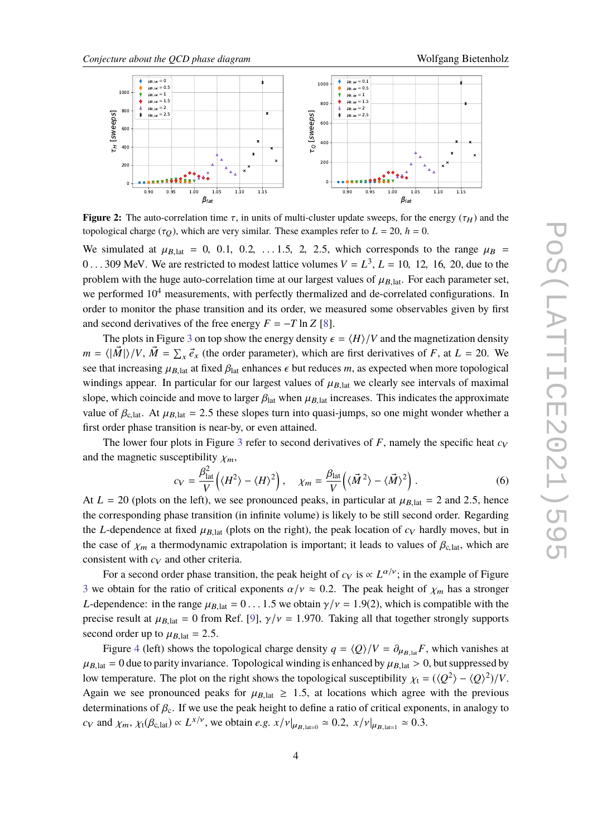<span id="page-3-0"></span>

**Figure 2:** The auto-correlation time  $\tau$ , in units of multi-cluster update sweeps, for the energy ( $\tau_H$ ) and the topological charge ( $\tau_Q$ ), which are very similar. These examples refer to  $L = 20$ ,  $h = 0$ .

We simulated at  $\mu_{B,lat} = 0$ , 0.1, 0.2, ...1.5, 2, 2.5, which corresponds to the range  $\mu_B$  = 0...309 MeV. We are restricted to modest lattice volumes  $V = L^3$ ,  $L = 10, 12, 16, 20$ , due to the nucleus with the bygg oute correlation time at our largest values of  $\mu$ . For each negephate at problem with the huge auto-correlation time at our largest values of  $\mu_{B,lat}$ . For each parameter set, we performed  $10<sup>4</sup>$  measurements, with perfectly thermalized and de-correlated configurations. In order to monitor the phase transition and its order, we measured some observables given by first and second derivatives of the free energy  $F = -T \ln Z$  [\[8\]](#page-8-9).

The plots in Figure [3](#page-4-0) on top show the energy density  $\epsilon = \frac{H}{V}$  and the magnetization density  $m = \langle |\vec{M}| \rangle / V$ ,  $\vec{M} = \sum_{x} \vec{e}_x$  (the order parameter), which are first derivatives of *F*, at *L* = 20. We see that increasing  $\mu_{B,lat}$  at fixed  $\beta_{lat}$  enhances  $\epsilon$  but reduces *m*, as expected when more topological windings appear. In particular for our largest values of  $\mu_{B, \text{lat}}$  we clearly see intervals of maximal slope, which coincide and move to larger  $\beta_{\text{lat}}$  when  $\mu_{B,\text{lat}}$  increases. This indicates the approximate value of  $\beta_{c,lat}$ . At  $\mu_{B,lat} = 2.5$  these slopes turn into quasi-jumps, so one might wonder whether a first order phase transition is near-by, or even attained.

The lower four plots in Figure [3](#page-4-0) refer to second derivatives of  $F$ , namely the specific heat  $c_V$ and the magnetic susceptibility  $\chi_m$ ,

$$
c_V = \frac{\beta_{\text{lat}}^2}{V} \left( \langle H^2 \rangle - \langle H \rangle^2 \right), \quad \chi_m = \frac{\beta_{\text{lat}}}{V} \left( \langle \vec{M}^2 \rangle - \langle \vec{M} \rangle^2 \right). \tag{6}
$$

At  $L = 20$  (plots on the left), we see pronounced peaks, in particular at  $\mu_{B,lat} = 2$  and 2.5, hence the corresponding phase transition (in infinite volume) is likely to be still second order. Regarding the *L*-dependence at fixed  $\mu_{B,lat}$  (plots on the right), the peak location of  $c_V$  hardly moves, but in the case of  $\chi_m$  a thermodynamic extrapolation is important; it leads to values of  $\beta_{c,lat}$ , which are consistent with  $c_V$  and other criteria.

For a second order phase transition, the peak height of  $c_V$  is  $\propto L^{\alpha/\nu}$ ; in the example of Figure [3](#page-4-0) we obtain for the ratio of critical exponents  $\alpha/\nu \approx 0.2$ . The peak height of  $\chi_m$  has a stronger *L*-dependence: in the range  $\mu_{\text{B}}|_{\text{at}} = 0 \dots 1.5$  we obtain  $\gamma/\nu = 1.9(2)$ , which is compatible with the precise result at  $\mu_{B,lat} = 0$  from Ref. [\[9\]](#page-8-8),  $\gamma/\nu = 1.970$ . Taking all that together strongly supports second order up to  $\mu_{B,lat} = 2.5$ .

Figure [4](#page-4-1) (left) shows the topological charge density  $q = \langle Q \rangle / V = \partial_{\mu_{B,lat}} F$ , which vanishes at  $\mu_{B,lat} = 0$  due to parity invariance. Topological winding is enhanced by  $\mu_{B,lat} > 0$ , but suppressed by low temperature. The plot on the right shows the topological susceptibility  $\chi_t = (\langle Q^2 \rangle - \langle Q \rangle^2)/V$ . Again we see pronounced peaks for  $\mu_{B,lat} \ge 1.5$ , at locations which agree with the previous determinations of  $\beta_c$ . If we use the peak height to define a ratio of critical exponents, in analogy to  $c_V$  and  $\chi_m$ ,  $\chi_t(\beta_{c,\text{lat}}) \propto L^{x/\nu}$ , we obtain *e.g.*  $x/\nu|_{\mu_{B,\text{lat}=0}} \simeq 0.2$ ,  $x/\nu|_{\mu_{B,\text{lat}=1}} \simeq 0.3$ .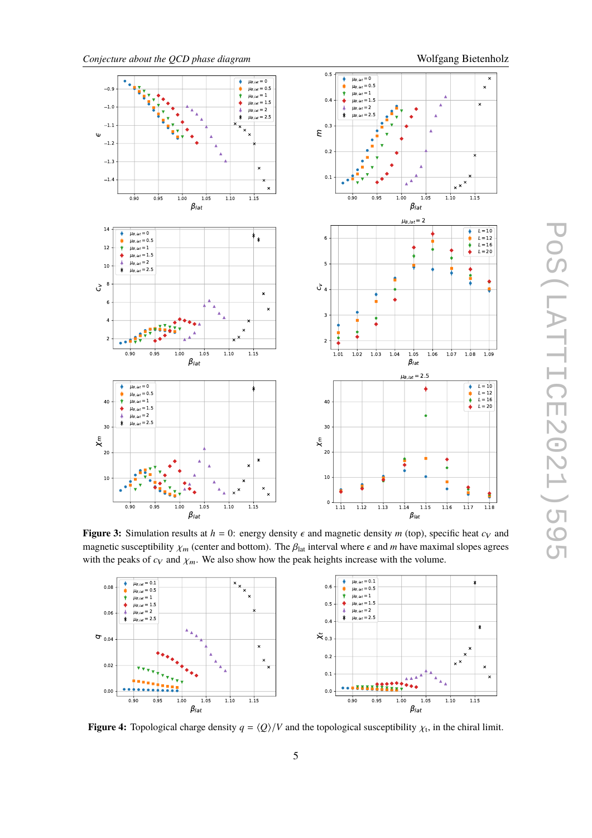



<span id="page-4-0"></span>

**Figure 3:** Simulation results at  $h = 0$ : energy density  $\epsilon$  and magnetic density *m* (top), specific heat  $c_V$  and magnetic susceptibility  $\chi_m$  (center and bottom). The  $\beta_{lat}$  interval where  $\epsilon$  and *m* have maximal slopes agrees with the peaks of  $c_V$  and  $\chi_m$ . We also show how the peak heights increase with the volume.

<span id="page-4-1"></span>

**Figure 4:** Topological charge density  $q = \langle Q \rangle/V$  and the topological susceptibility  $\chi_t$ , in the chiral limit.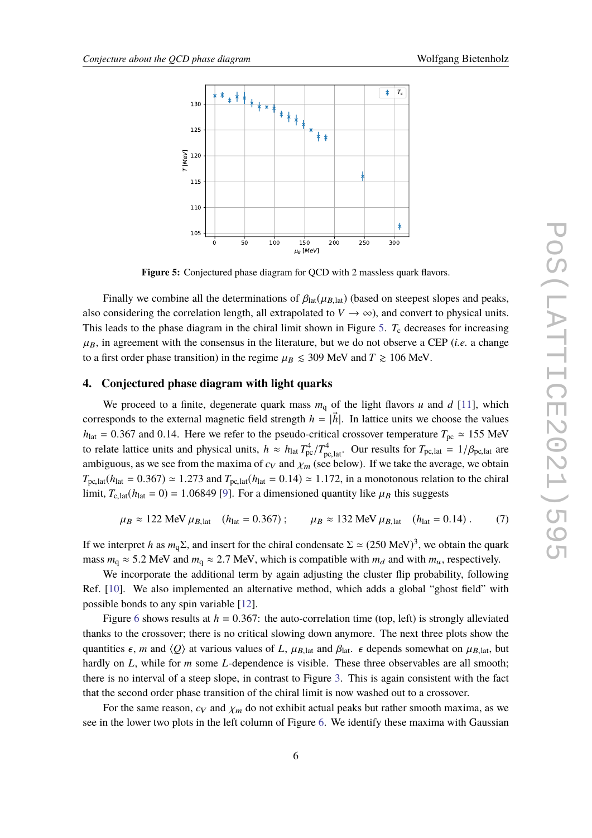<span id="page-5-0"></span>

**Figure 5:** Conjectured phase diagram for QCD with 2 massless quark flavors.

Finally we combine all the determinations of  $\beta_{lat}(\mu_{B,lat})$  (based on steepest slopes and peaks, also considering the correlation length, all extrapolated to  $V \rightarrow \infty$ ), and convert to physical units. This leads to the phase diagram in the chiral limit shown in Figure [5.](#page-5-0) T<sub>c</sub> decreases for increasing  $\mu_B$ , in agreement with the consensus in the literature, but we do not observe a CEP (*i.e.* a change to a first order phase transition) in the regime  $\mu_B \leq 309$  MeV and  $T \geq 106$  MeV.

#### **4. Conjectured phase diagram with light quarks**

We proceed to a finite, degenerate quark mass  $m_q$  of the light flavors *u* and *d* [\[11\]](#page-8-10), which corresponds to the external magnetic field strength  $h = |\vec{h}|$ . In lattice units we choose the values  $h_{\text{lat}} = 0.367$  and 0.14. Here we refer to the pseudo-critical crossover temperature  $T_{\text{pc}} \approx 155$  MeV to relate lattice units and physical units,  $h \approx h_{\text{lat}} T_{\text{pc}}^4 / T_{\text{pc,lat}}^4$ . Our results for  $T_{\text{pc,lat}} = 1 / \beta_{\text{pc,lat}}$  are<br>embiguous, as we see from the maxime of  $\alpha_2$  and  $\nu_1$  (see helow). If we take the evergen we ambiguous, as we see from the maxima of  $c_V$  and  $\chi_m$  (see below). If we take the average, we obtain  $T_{\text{pc,lat}}(h_{\text{lat}} = 0.367) \approx 1.273$  and  $T_{\text{pc,lat}}(h_{\text{lat}} = 0.14) \approx 1.172$ , in a monotonous relation to the chiral limit,  $T_{c,lat}(h_{lat} = 0) = 1.06849$  [\[9\]](#page-8-8). For a dimensioned quantity like  $\mu_B$  this suggests

$$
\mu_B \approx 122 \text{ MeV } \mu_{B,\text{lat}}
$$
 ( $h_{\text{lat}} = 0.367$ );  $\mu_B \approx 132 \text{ MeV } \mu_{B,\text{lat}}$  ( $h_{\text{lat}} = 0.14$ ). (7)

If we interpret *h* as  $m_q\Sigma$ , and insert for the chiral condensate  $\Sigma \simeq (250 \text{ MeV})^3$ , we obtain the quark mass  $m_q \approx 5.2$  MeV and  $m_q \approx 2.7$  MeV, which is compatible with  $m_d$  and with  $m_u$ , respectively.

We incorporate the additional term by again adjusting the cluster flip probability, following Ref. [\[10\]](#page-8-7). We also implemented an alternative method, which adds a global "ghost field" with possible bonds to any spin variable [\[12\]](#page-8-11).

Figure [6](#page-6-0) shows results at  $h = 0.367$ : the auto-correlation time (top, left) is strongly alleviated thanks to the crossover; there is no critical slowing down anymore. The next three plots show the quantities  $\epsilon$ , *m* and  $\langle Q \rangle$  at various values of *L*,  $\mu_{B, \text{lat}}$  and  $\beta_{\text{lat}}$ .  $\epsilon$  depends somewhat on  $\mu_{B, \text{lat}}$ , but hardly on *L*, while for *m* some *L*-dependence is visible. These three observables are all smooth; there is no interval of a steep slope, in contrast to Figure [3.](#page-4-0) This is again consistent with the fact that the second order phase transition of the chiral limit is now washed out to a crossover.

For the same reason,  $c_V$  and  $\chi_m$  do not exhibit actual peaks but rather smooth maxima, as we see in the lower two plots in the left column of Figure [6.](#page-6-0) We identify these maxima with Gaussian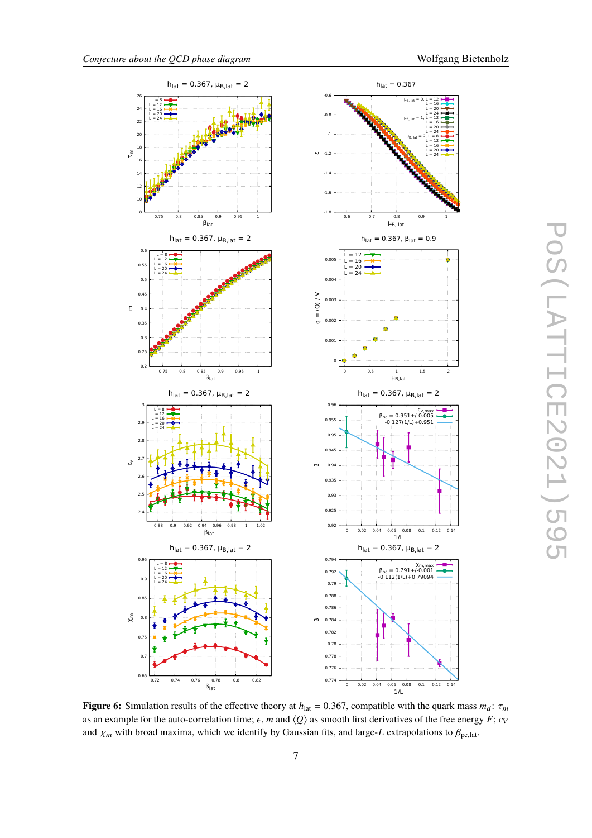$\frac{1}{16}$  $L = 20$  $L = 24$ 

 $L = 16$  $L = 20$  $L = 24$ 

 $L = 12$  $L = 16$  $L = 20$  $L = 24$ 

<span id="page-6-0"></span>

POS(LATTICE2021)595 PoS(LATTICE2021)595

**Figure 6:** Simulation results of the effective theory at  $h_{\text{lat}} = 0.367$ , compatible with the quark mass  $m_d$ :  $\tau_m$ as an example for the auto-correlation time;  $\epsilon$ , *m* and  $\langle Q \rangle$  as smooth first derivatives of the free energy *F*; *c*<sub>V</sub> and  $\chi_m$  with broad maxima, which we identify by Gaussian fits, and large-*L* extrapolations to  $\beta_{\text{pc,lat}}$ .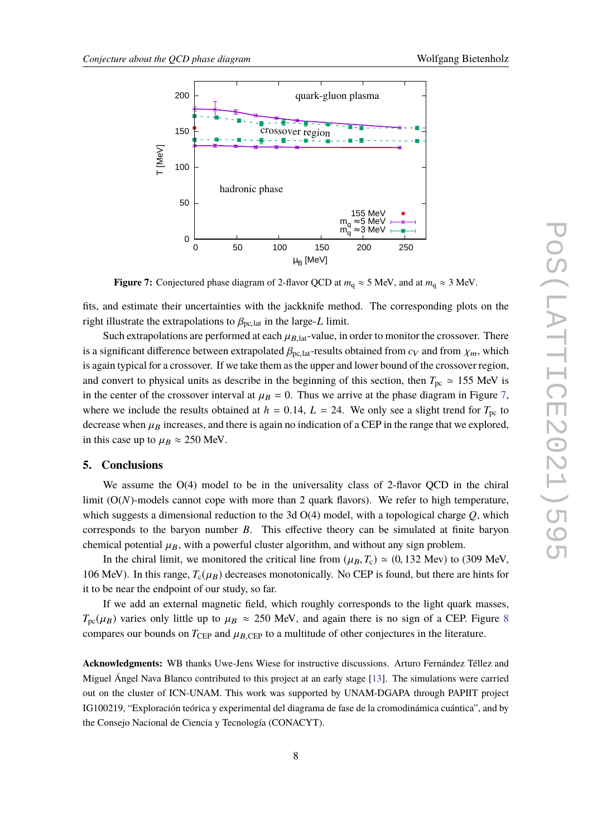<span id="page-7-0"></span>

**Figure 7:** Conjectured phase diagram of 2-flavor QCD at  $m_q \approx 5$  MeV, and at  $m_q \approx 3$  MeV.

fits, and estimate their uncertainties with the jackknife method. The corresponding plots on the right illustrate the extrapolations to  $\beta_{\text{pc,lat}}$  in the large-*L* limit.

Such extrapolations are performed at each  $\mu_{B,lat}$ -value, in order to monitor the crossover. There is a significant difference between extrapolated  $\beta_{\text{pc,lat}}$ -results obtained from  $c_V$  and from  $\chi_m$ , which is again typical for a crossover. If we take them as the upper and lower bound of the crossover region, and convert to physical units as describe in the beginning of this section, then  $T_{\text{pc}} \approx 155$  MeV is in the center of the crossover interval at  $\mu_B = 0$ . Thus we arrive at the phase diagram in Figure [7,](#page-7-0) where we include the results obtained at  $h = 0.14$ ,  $L = 24$ . We only see a slight trend for  $T_{\text{pc}}$  to decrease when  $\mu_B$  increases, and there is again no indication of a CEP in the range that we explored, in this case up to  $\mu_B \approx 250$  MeV.

#### **5. Conclusions**

We assume the  $O(4)$  model to be in the universality class of 2-flavor OCD in the chiral limit (O(*N*)-models cannot cope with more than 2 quark flavors). We refer to high temperature, which suggests a dimensional reduction to the 3d O(4) model, with a topological charge *Q*, which corresponds to the baryon number *B*. This effective theory can be simulated at finite baryon chemical potential  $\mu_B$ , with a powerful cluster algorithm, and without any sign problem.

In the chiral limit, we monitored the critical line from  $(\mu_B, T_c) \approx (0, 132 \text{ MeV})$  to (309 MeV, 106 MeV). In this range,  $T_c(\mu_B)$  decreases monotonically. No CEP is found, but there are hints for it to be near the endpoint of our study, so far.

If we add an external magnetic field, which roughly corresponds to the light quark masses,  $T_{\text{pc}}(\mu_B)$  varies only little up to  $\mu_B \approx 250$  MeV, and again there is no sign of a CEP. Figure [8](#page-8-12) compares our bounds on  $T_{\text{CEP}}$  and  $\mu_{B,\text{CEP}}$  to a multitude of other conjectures in the literature.

**Acknowledgments:** WB thanks Uwe-Jens Wiese for instructive discussions. Arturo Fernández Téllez and Miguel Ángel Nava Blanco contributed to this project at an early stage [\[13\]](#page-8-13). The simulations were carried out on the cluster of ICN-UNAM. This work was supported by UNAM-DGAPA through PAPIIT project IG100219, "Exploración teórica y experimental del diagrama de fase de la cromodinámica cuántica", and by the Consejo Nacional de Ciencia y Tecnología (CONACYT).